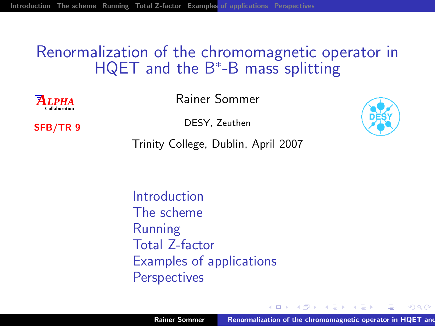#### Renormalization of the chromomagnetic operator in HQET and the B<sup>\*</sup>-B mass splitting

 $\overline{A}$ *IPHA* **Collaboration** Rainer Sommer

SFB/TR 9

DESY, Zeuthen



<span id="page-0-0"></span> $2Q$ 

Trinity College, Dublin, April 2007

[Introduction](#page-2-0) [The scheme](#page-27-0) [Running](#page-40-0) [Total Z-factor](#page-52-0) [Examples of applications](#page-53-0) **[Perspectives](#page-56-0)** 

4 间 1

**CALLES**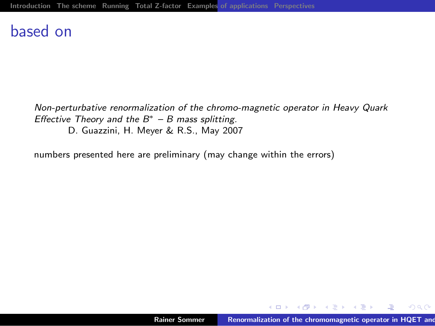#### based on

Non-perturbative renormalization of the chromo-magnetic operator in Heavy Quark Effective Theory and the  $B^*$  – B mass splitting.

D. Guazzini, H. Meyer & R.S., May 2007

numbers presented here are preliminary (may change within the errors)

<span id="page-1-0"></span>メロメ メタメ メミメ メミメ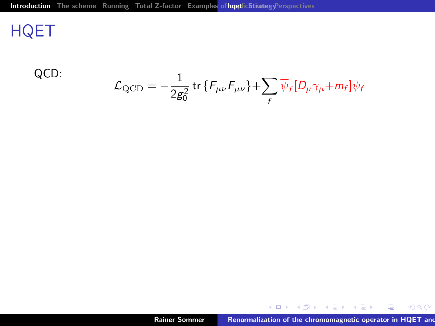# **HQET**

QCD:

$$
\mathcal{L}_{\mathrm{QCD}} = -\frac{1}{2g_0^2} \operatorname{tr} \{ F_{\mu\nu} F_{\mu\nu} \} + \sum_f \overline{\psi}_f [D_\mu \gamma_\mu + m_f] \psi_f
$$

<span id="page-2-0"></span>K ロ ▶ K (日 ) | K 플 ) | K 플 ) | 그를 | 10 Q (이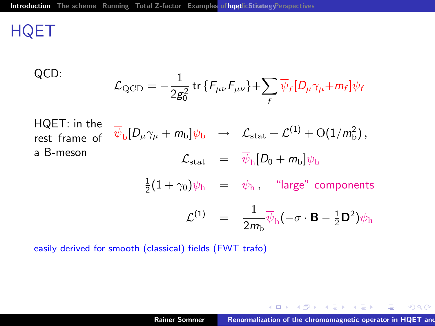# **HQET**

QCD:  
\n
$$
\mathcal{L}_{\text{QCD}} = -\frac{1}{2g_0^2} \text{tr} \{ F_{\mu\nu} F_{\mu\nu} \} + \sum_f \overline{\psi}_f [D_\mu \gamma_\mu + m_f] \psi_f
$$
\nHQET: in the rest frame of  $\overline{\psi}_b [D_\mu \gamma_\mu + m_b] \psi_b \rightarrow \mathcal{L}_{\text{stat}} + \mathcal{L}^{(1)} + O(1/m_b^2),$   
\na B-meson  $\mathcal{L}_{\text{stat}} = \overline{\psi}_h [D_0 + m_b] \psi_h$   
\n $\frac{1}{2} (1 + \gamma_0) \psi_h = \psi_h, \text{ "large" components}$   
\n $\mathcal{L}^{(1)} = \frac{1}{2m_b} \overline{\psi}_h (-\sigma \cdot \mathbf{B} - \frac{1}{2} \mathbf{D}^2) \psi_h$ 

easily derived for smooth (classical) fields (FWT trafo)

メロメ メ都 メイモメ メモメ

 $\equiv$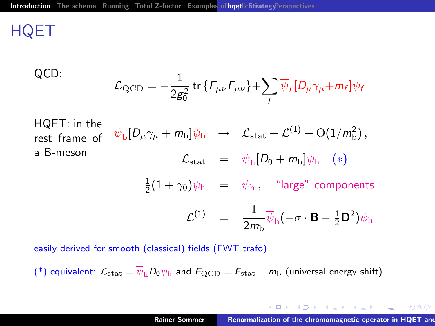# **HQET**

QCD:  
\n
$$
\mathcal{L}_{\text{QCD}} = -\frac{1}{2g_0^2} \text{tr} \{ F_{\mu\nu} F_{\mu\nu} \} + \sum_f \overline{\psi}_f [D_\mu \gamma_\mu + m_f] \psi_f
$$
\nHQET: in the rest frame of  $\overline{\psi}_b [D_\mu \gamma_\mu + m_b] \psi_b \rightarrow \mathcal{L}_{\text{stat}} + \mathcal{L}^{(1)} + O(1/m_b^2),$   
\na B-meson  $\mathcal{L}_{\text{stat}} = \overline{\psi}_h [D_0 + m_b] \psi_h (*)$   
\n $\frac{1}{2} (1 + \gamma_0) \psi_h = \psi_h, \text{ "large" components}$   
\n $\mathcal{L}^{(1)} = \frac{1}{2m_b} \overline{\psi}_h (-\sigma \cdot \mathbf{B} - \frac{1}{2} \mathbf{D}^2) \psi_h$ 

easily derived for smooth (classical) fields (FWT trafo)

(\*) equivalent:  $\mathcal{L}_{\text{stat}} = \overline{\psi}_{h} D_0 \psi_{h}$  and  $E_{\text{QCD}} = E_{\text{stat}} + m_{\text{b}}$  (universal energy shift)

メロメ メタメ メミメ メミメー

<span id="page-4-0"></span>哇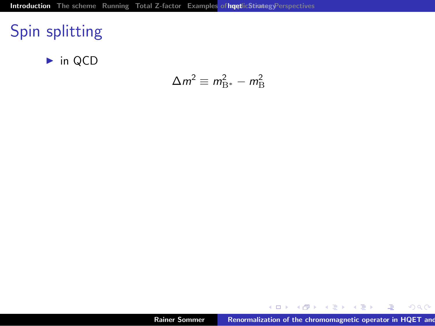# Spin splitting

 $\blacktriangleright$  in QCD

$$
\Delta m^2 \equiv m_{\rm B^*}^2 - m_{\rm B}^2
$$

メロメ メ御き メミメ メミメ

<span id="page-5-0"></span>佳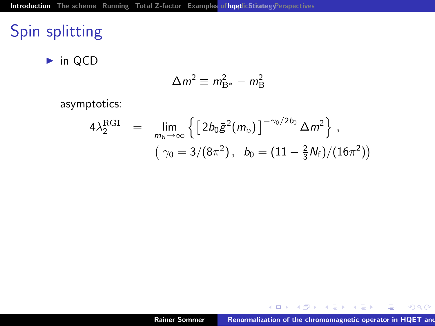# Spin splitting

 $\blacktriangleright$  in QCD

$$
\Delta m^2 \equiv m_{\rm B^*}^2 - m_{\rm B}^2
$$

asymptotics:

$$
4\lambda_2^{\text{RGI}} = \lim_{m_b \to \infty} \left\{ \left[ 2b_0 \bar{g}^2(m_b) \right]^{-\gamma_0/2b_0} \Delta m^2 \right\},
$$
  

$$
(\gamma_0 = 3/(8\pi^2), b_0 = (11 - \frac{2}{3}N_f)/(16\pi^2))
$$

メロメ メ都 メ メ君 メ メ君 メー

<span id="page-6-0"></span> $\equiv$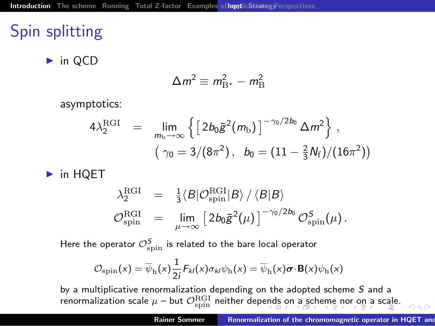# Spin splitting

 $\blacktriangleright$  in QCD

$$
\Delta m^2 \equiv m_{\rm B^*}^2 - m_{\rm B}^2
$$

asymptotics:

$$
4\lambda_2^{\text{RGI}} = \lim_{m_b \to \infty} \left\{ \left[ 2b_0 \bar{g}^2(m_b) \right]^{-\gamma_0/2b_0} \Delta m^2 \right\},
$$
  

$$
(\gamma_0 = 3/(8\pi^2), b_0 = (11 - \frac{2}{3}N_f)/(16\pi^2))
$$

 $\blacktriangleright$  in HQET

$$
\begin{array}{ccl} \lambda_2^{\rm RGI} & = & \frac{1}{3} \langle {\cal B} | {\cal O}^{\rm RGI}_{\rm spin} | {\cal B} \rangle \: / \: \langle {\cal B} | {\cal B} \rangle \\ {\cal O}^{\rm RGI}_{\rm spin} & = & \lim_{\mu \rightarrow \infty} \left[ \: 2 b_0 \bar{g}^2(\mu) \: \right]^{-\gamma_0/2b_0} {\cal O}^{\sf S}_{\rm spin}(\mu) \, . \end{array}
$$

Here the operator  $\mathcal{O}^{\mathcal{S}}_{\text{\rm spin}}$  is related to the bare local operator

<span id="page-7-0"></span>
$$
\mathcal{O}_{\rm spin}(x) = \overline{\psi}_{\rm h}(x) \frac{1}{2i} F_{kl}(x) \sigma_{kl} \psi_{\rm h}(x) = \overline{\psi}_{\rm h}(x) \boldsymbol{\sigma} \cdot \mathbf{B}(x) \psi_{\rm h}(x)
$$

by a multiplicative renormalization depending on the adopted scheme  $S$  and a renormalization[sc](#page-7-0)al[e](#page-2-0)  $\mu$  – but  $\mathcal{O}^{\rm RGI}_{\rm spin}$  $\mathcal{O}^{\rm RGI}_{\rm spin}$  $\mathcal{O}^{\rm RGI}_{\rm spin}$  $\mathcal{O}^{\rm RGI}_{\rm spin}$  $\mathcal{O}^{\rm RGI}_{\rm spin}$  neither dep[end](#page-6-0)s [on](#page-8-0) [a](#page-27-0) sch[em](#page-1-0)e [no](#page-26-0)[r](#page-1-0) [o](#page-2-0)n a [sca](#page-0-0)[le.](#page-58-0)  $\Omega$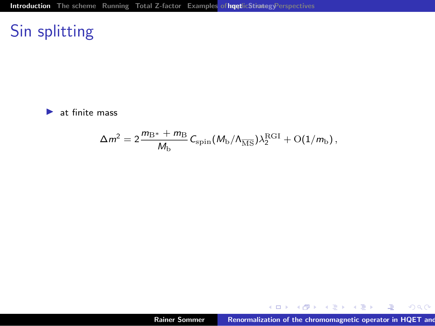# Sin splitting

 $\blacktriangleright$  at finite mass

$$
\Delta m^2 = 2 \frac{m_\mathrm{B*} + m_\mathrm{B}}{M_\mathrm{b}} \, C_\mathrm{spin} (M_\mathrm{b}/\Lambda_{\overline{\mathrm{MS}}}) \lambda^\mathrm{RGI}_2 + \mathrm{O}(1/m_\mathrm{b}) \,,
$$

メロメ メ都 メメモメ メモメン

<span id="page-8-0"></span>佳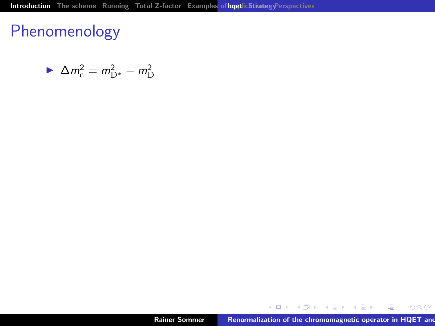$$
\blacktriangleright \Delta m_{\rm c}^2 = m_{\rm D^*}^2 - m_{\rm D}^2
$$

メロメ メ都 メ メ君 メ メ君 メー

 $299$ 

佳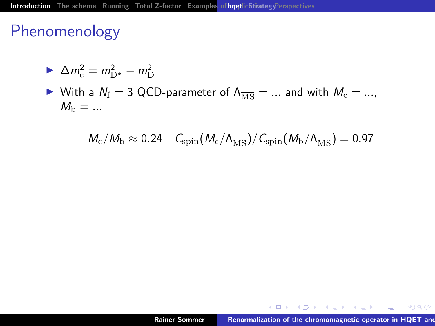$$
\blacktriangleright \Delta m_{\rm c}^2 = m_{\rm D^*}^2 - m_{\rm D}^2
$$

► With a  $N_f = 3$  QCD-parameter of  $\Lambda_{\overline{\rm MS}} = ...$  and with  $M_c = ...$ ,  $M_{\rm b} = ...$ 

$$
M_{\rm c}/M_{\rm b}\approx 0.24\quad C_{\rm spin}(M_{\rm c}/\Lambda_{\overline{\rm MS}})/C_{\rm spin}(M_{\rm b}/\Lambda_{\overline{\rm MS}})=0.97
$$

メロメ メ母メ メミメ メミメー

注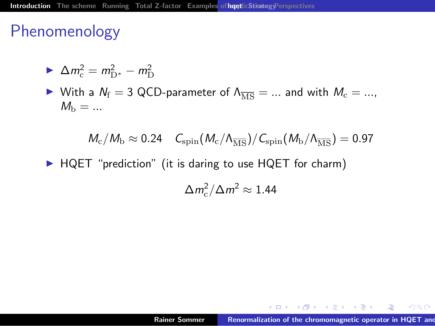$$
\blacktriangleright \Delta m_{\rm c}^2 = m_{\rm D^*}^2 - m_{\rm D}^2
$$

► With a  $N_f = 3$  QCD-parameter of  $\Lambda_{\overline{\rm MS}} = ...$  and with  $M_c = ...$ ,  $M_{\rm b} = ...$ 

$$
\textit{M}_{\rm{c}}/\textit{M}_{\rm{b}} \approx 0.24 \quad \textit{C}_{\rm{spin}}(\textit{M}_{\rm{c}}/\textit{A}_{\overline{\rm{MS}}})/\textit{C}_{\rm{spin}}(\textit{M}_{\rm{b}}/\textit{A}_{\overline{\rm{MS}}})=0.97
$$

 $\blacktriangleright$  HQET "prediction" (it is daring to use HQET for charm)

$$
\Delta m_{\rm c}^2/\Delta m^2 \approx 1.44
$$

メロメ メ御メ メミメ メミメー

注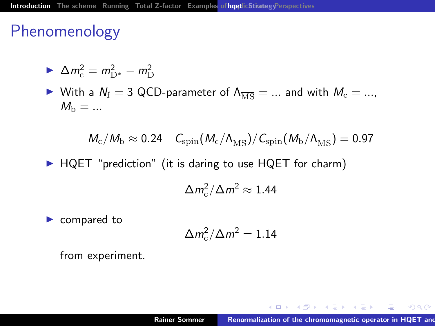$$
\blacktriangleright \Delta m_{\rm c}^2 = m_{\rm D^*}^2 - m_{\rm D}^2
$$

► With a  $N_f = 3$  QCD-parameter of  $\Lambda_{\overline{\rm MS}} = ...$  and with  $M_c = ...$ ,  $M_{\rm b} = ...$ 

$$
M_{\rm c}/M_{\rm b}\approx 0.24\quad C_{\rm spin}(M_{\rm c}/\Lambda_{\overline{\rm MS}})/C_{\rm spin}(M_{\rm b}/\Lambda_{\overline{\rm MS}})=0.97
$$

 $\blacktriangleright$  HQET "prediction" (it is daring to use HQET for charm)

$$
\Delta m_{\rm c}^2/\Delta m^2 \approx 1.44
$$

 $\blacktriangleright$  compared to

$$
\Delta m_{\rm c}^2/\Delta m^2=1.14
$$

from experiment.

イロメ イ母メ イヨメ イヨメー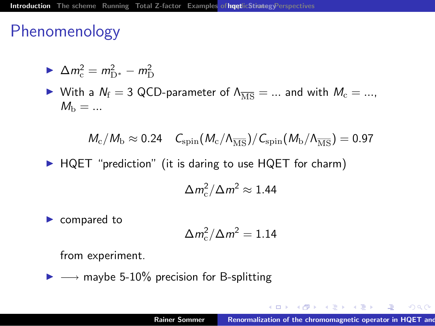$$
\blacktriangleright \Delta m_{\rm c}^2 = m_{\rm D^*}^2 - m_{\rm D}^2
$$

► With a  $N_f = 3$  QCD-parameter of  $\Lambda_{\overline{\rm MS}} = ...$  and with  $M_c = ...$ ,  $M_{\rm b} = ...$ 

$$
M_{\rm c}/M_{\rm b}\approx 0.24\quad \mathcal{C}_{\rm spin}(M_{\rm c}/\Lambda_{\overline{\rm MS}})/\mathcal{C}_{\rm spin}(M_{\rm b}/\Lambda_{\overline{\rm MS}})=0.97
$$

 $\blacktriangleright$  HQET "prediction" (it is daring to use HQET for charm)

$$
\Delta m_{\rm c}^2/\Delta m^2 \approx 1.44
$$

 $\blacktriangleright$  compared to

$$
\Delta m_{\rm c}^2/\Delta m^2=1.14
$$

from experiment.

 $\triangleright \rightarrow$  maybe 5-10% precision for B-splitting

 $\mathcal{A}$  and  $\mathcal{A}$  is a set of  $\mathcal{B}$  is a set of  $\mathcal{B}$  is a set of  $\mathcal{B}$ 

 $OQ$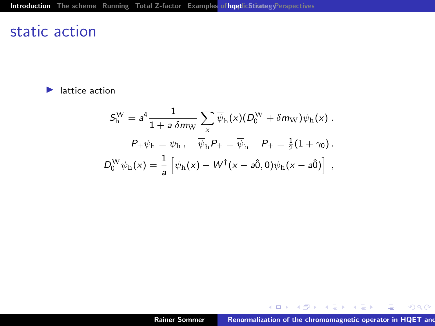#### static action

 $\blacktriangleright$  lattice action

$$
S_h^{\text{W}} = a^4 \frac{1}{1 + a \,\delta m_{\text{W}}} \sum_x \overline{\psi}_h(x) (D_0^{\text{W}} + \delta m_{\text{W}}) \psi_h(x) .
$$

$$
P_+ \psi_h = \psi_h, \quad \overline{\psi}_h P_+ = \overline{\psi}_h \quad P_+ = \frac{1}{2} (1 + \gamma_0) .
$$

$$
D_0^{\text{W}} \psi_h(x) = \frac{1}{a} \left[ \psi_h(x) - W^\dagger(x - a\hat{0}, 0) \psi_h(x - a\hat{0}) \right] ,
$$

メロメ メタメ メミメ メミメー

 $E = 990$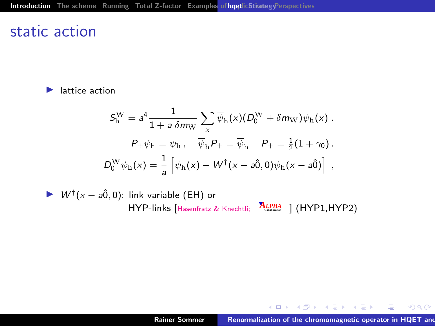#### static action

 $\blacktriangleright$  lattice action

$$
\begin{aligned} \mathcal{S}_\mathrm{h}^\mathrm{W} &= a^4 \frac{1}{1+a\,\delta m_\mathrm{W}} \sum_\mathrm{x} \overline{\psi}_\mathrm{h} (x) (D_0^\mathrm{W} + \delta m_\mathrm{W}) \psi_\mathrm{h} (x) \ . \\ P_+ \psi_\mathrm{h} &= \psi_\mathrm{h} \ , \quad \overline{\psi}_\mathrm{h} P_+ = \overline{\psi}_\mathrm{h} \quad P_+ = \tfrac{1}{2} (1+\gamma_0) \ . \\ D_0^\mathrm{W} \psi_\mathrm{h} (x) &= \frac{1}{a} \left[ \psi_\mathrm{h} (x) - W^\dagger (x-a \hat{0}, 0) \psi_\mathrm{h} (x-a \hat{0}) \right] \ , \end{aligned}
$$

►  $W^{\dagger}(x - a\hat{0}, 0)$ : link variable (EH) or HYP-links [Hasenfratz & Knechtli; *ALPHA* **Collaboration** ] (HYP1,HYP2)

メロメ メ御き メミメ メミメ

哇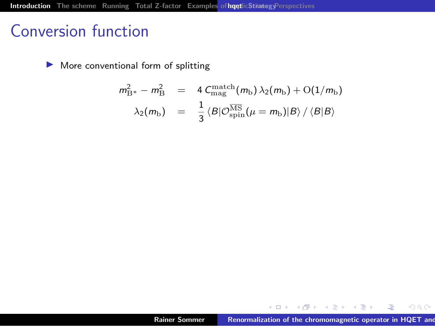$\blacktriangleright$  More conventional form of splitting

$$
m_{\rm B*}^2 - m_{\rm B}^2 = 4 C_{\rm mag}^{\rm match}(m_{\rm b}) \lambda_2(m_{\rm b}) + O(1/m_{\rm b})
$$
  

$$
\lambda_2(m_{\rm b}) = \frac{1}{3} \langle B|O_{\rm spin}^{\overline{\rm MS}}(\mu = m_{\rm b})|B\rangle / \langle B|B\rangle
$$

メロメ メ都 メ メ ヨメ メ ヨメ

 $\equiv$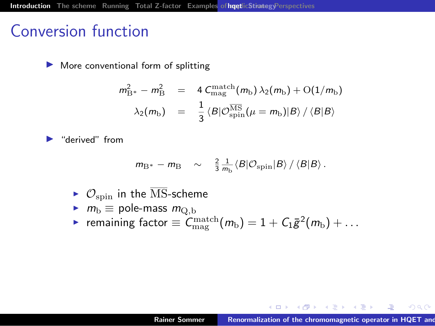$\blacktriangleright$  More conventional form of splitting

$$
m_{\rm B*}^2 - m_{\rm B}^2 = 4 C_{\rm mag}^{\rm match}(m_{\rm b}) \lambda_2(m_{\rm b}) + O(1/m_{\rm b})
$$

$$
\lambda_2(m_{\rm b}) = \frac{1}{3} \langle B|O_{\rm spin}^{\overline{\rm MS}}(\mu = m_{\rm b})|B\rangle / \langle B|B\rangle
$$

"derived" from

$$
m_{\rm B^*} - m_{\rm B} \sim \frac{2}{3} \frac{1}{m_{\rm b}} \langle B| \mathcal{O}_{\rm spin} |B\rangle / \langle B|B\rangle.
$$

- $\triangleright$   $\mathcal{O}_{\text{spin}}$  in the  $\overline{\text{MS}}$ -scheme
- $\blacktriangleright$   $m_{\text{b}} \equiv$  pole-mass  $m_{\text{Q},\text{b}}$
- ► remaining factor  $\equiv \mathcal{C}_{\text{mag}}^{\text{match}}(m_{\text{b}}) = 1 + \mathcal{C}_1 \bar{g}^2(m_{\text{b}}) + \ldots$

メ御き メミメ メミメ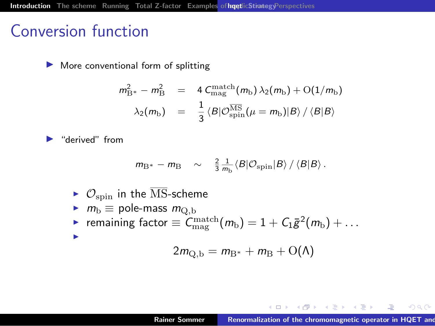$\blacktriangleright$  More conventional form of splitting

$$
m_{\rm B*}^2 - m_{\rm B}^2 = 4 C_{\rm mag}^{\rm match}(m_{\rm b}) \lambda_2(m_{\rm b}) + O(1/m_{\rm b})
$$

$$
\lambda_2(m_{\rm b}) = \frac{1}{3} \langle B|O_{\rm spin}^{\overline{\rm MS}}(\mu = m_{\rm b})|B\rangle / \langle B|B\rangle
$$

"derived" from

$$
m_{\rm B^*} - m_{\rm B} \sim \frac{2}{3} \frac{1}{m_{\rm b}} \langle B| \mathcal{O}_{\rm spin} |B\rangle / \langle B|B\rangle.
$$

- $\triangleright$   $\mathcal{O}_{\text{spin}}$  in the  $\overline{\text{MS}}$ -scheme
- $\blacktriangleright$   $m_{\text{b}} \equiv$  pole-mass  $m_{\text{Q},\text{b}}$ ► remaining factor  $\equiv \mathcal{C}_{\text{mag}}^{\text{match}}(m_{\text{b}}) = 1 + \mathcal{C}_1 \bar{g}^2(m_{\text{b}}) + \ldots$ I

$$
2m_{\mathrm{Q,b}}=m_{\mathrm{B}^*}+m_{\mathrm{B}}+\mathrm{O}(\mathrm{\Lambda})
$$

 $4$  and  $3$  and  $4$  . The  $4$  of  $\Xi$  is a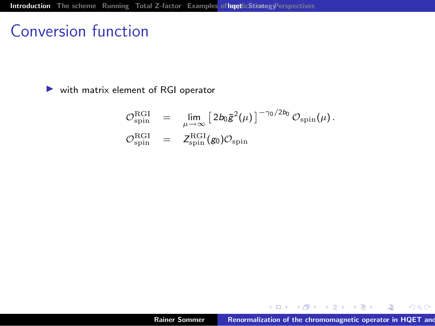$\triangleright$  with matrix element of RGI operator

$$
\mathcal{O}_{\text{spin}}^{\text{RGI}} = \lim_{\mu \to \infty} \left[ 2b_0 \bar{\mathbf{g}}^2(\mu) \right]^{-\gamma_0/2b_0} \mathcal{O}_{\text{spin}}(\mu).
$$
  

$$
\mathcal{O}_{\text{spin}}^{\text{RGI}} = Z_{\text{spin}}^{\text{RGI}}(\mathbf{g}_0) \mathcal{O}_{\text{spin}}
$$

メロメ メ御メ メミメ メミメー

 $\equiv$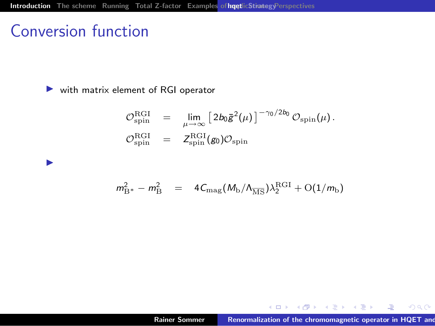$\blacktriangleright$ 

 $\triangleright$  with matrix element of RGI operator

$$
\mathcal{O}_{\text{spin}}^{\text{RGI}} = \lim_{\mu \to \infty} \left[ 2b_0 \bar{\mathbf{g}}^2(\mu) \right]^{-\gamma_0/2b_0} \mathcal{O}_{\text{spin}}(\mu).
$$
  

$$
\mathcal{O}_{\text{spin}}^{\text{RGI}} = Z_{\text{spin}}^{\text{RGI}}(\mathbf{g}_0) \mathcal{O}_{\text{spin}}
$$

$$
m_{\rm B^*}^2 - m_{\rm B}^2 = 4C_{\rm mag}(M_{\rm b}/\Lambda_{\overline{\rm MS}})\lambda_2^{\rm RGI} + {\rm O}(1/m_{\rm b})
$$

メロメ メタメ メミメ メミメ

 $\equiv$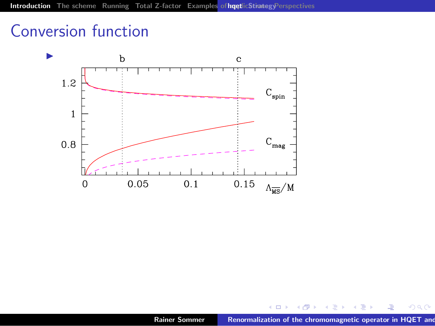

( @ )

 $\rightarrow$ 

**II** 

重

ă

 $2Q$ 

 $\leftarrow$   $\Box$   $\rightarrow$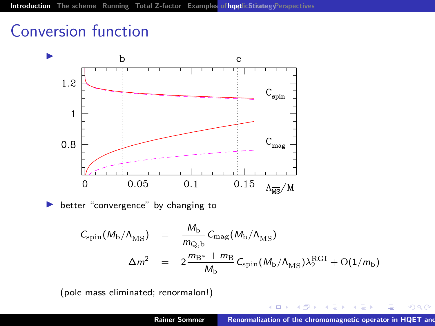

better "convergence" by changing to

$$
C_{\rm spin}(M_{\rm b}/\Lambda_{\overline{\rm MS}}) = \frac{M_{\rm b}}{m_{\rm Q,b}} C_{\rm mag}(M_{\rm b}/\Lambda_{\overline{\rm MS}})
$$
  

$$
\Delta m^2 = 2 \frac{m_{\rm B*} + m_{\rm B}}{M_{\rm b}} C_{\rm spin}(M_{\rm b}/\Lambda_{\overline{\rm MS}}) \lambda_2^{\rm RGI} + O(1/m_{\rm b})
$$

(pole mass eliminated; renormalon!)

 $290$ 

 $4.171.6$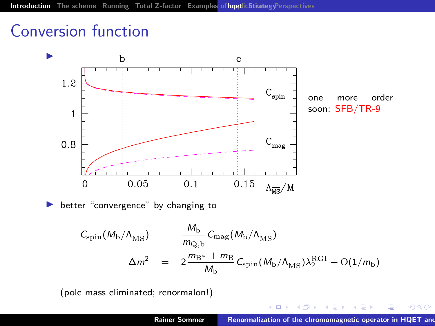

$$
C_{\rm spin}(M_{\rm b}/\Lambda_{\overline{\rm MS}}) = \frac{M_{\rm b}}{m_{\rm Q,b}} C_{\rm mag}(M_{\rm b}/\Lambda_{\overline{\rm MS}})
$$
  

$$
\Delta m^2 = 2 \frac{m_{\rm B*} + m_{\rm B}}{M_{\rm b}} C_{\rm spin}(M_{\rm b}/\Lambda_{\overline{\rm MS}}) \lambda_2^{\rm RGI} + O(1/m_{\rm b})
$$

(pole mass eliminated; renormalon!)

 $290$ 

 $4.171.6$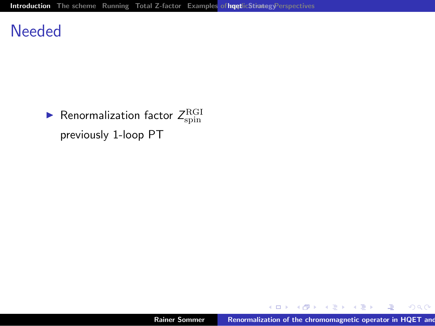#### **Needed**

 $\blacktriangleright$  Renormalization factor  $Z_{\rm spin}^{\rm RGI}$ previously 1-loop PT

メロメ メタメ メミメ メミメ

重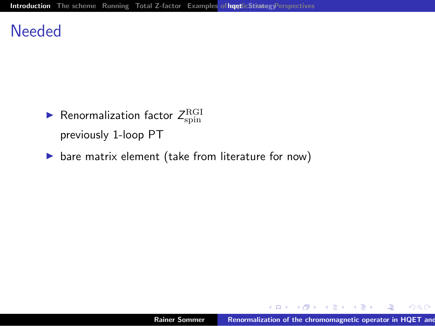#### **Needed**

- $\blacktriangleright$  Renormalization factor  $Z_{\rm spin}^{\rm RGI}$ previously 1-loop PT
- $\triangleright$  bare matrix element (take from literature for now)

メロメ メタメ メミメ メミメ

<span id="page-25-0"></span>唾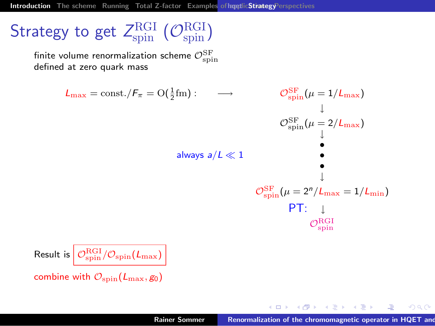[Introduction](#page-2-0) [The scheme](#page-27-0) [Running](#page-40-0) [Total Z-factor](#page-52-0) Examples of hoetlic [Strategy](#page-26-0)[Perspectives](#page-56-0)

# Strategy to get  $Z_{\rm spin}^{\rm RGI}~(\mathcal O_{\rm spin}^{\rm RGI})$

finite volume renormalization scheme  $\mathcal{O}^\text{SF}_\text{spin}$ defined at zero quark mass

$$
L_{\text{max}} = \text{const.}/F_{\pi} = O(\frac{1}{2} \text{fm}) : \longrightarrow \qquad \mathcal{O}_{\text{spin}}^{\text{SF}}(\mu = 1/L_{\text{max}})
$$
\n
$$
\mathcal{O}_{\text{spin}}^{\text{SF}}(\mu = 2/L_{\text{max}})
$$
\n
$$
\text{always } a/L \ll 1
$$
\n
$$
\mathcal{O}_{\text{spin}}^{\text{SF}}(\mu = 2^n/L_{\text{max}} = 1/L_{\text{min}})
$$
\n
$$
\mathcal{O}_{\text{spin}}^{\text{SF}}(\mu = 2^n/L_{\text{max}} = 1/L_{\text{min}})
$$
\n
$$
\mathcal{O}_{\text{spin}}^{\text{RF}}(\mu = 2^n/L_{\text{max}} = 1/L_{\text{min}})
$$

Result is 
$$
\boxed{\mathcal{O}_{\text{spin}}^{\text{RGI}}/\mathcal{O}_{\text{spin}}(L_{\text{max}})}
$$
 combine with  $\mathcal{O}_{\text{spin}}(L_{\text{max}}, g_0)$ 

メロメ メ御メ メミメ メミメ

<span id="page-26-0"></span> $2Q$ 

ē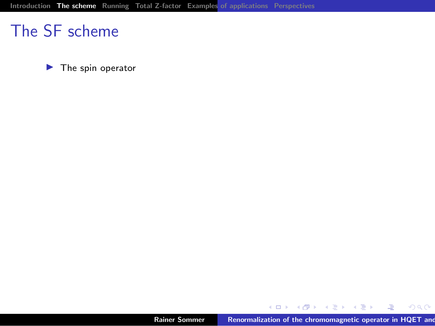$\blacktriangleright$  The spin operator

メロメ メ都メ メミメ メミメー

<span id="page-27-0"></span>唐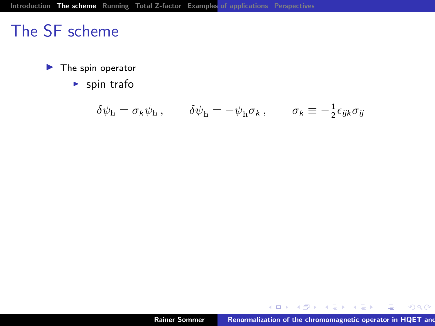$\blacktriangleright$  The spin operator

 $\blacktriangleright$  spin trafo

$$
\delta\psi_{\mathbf{h}} = \sigma_{k}\psi_{\mathbf{h}} , \qquad \delta\overline{\psi}_{\mathbf{h}} = -\overline{\psi}_{\mathbf{h}}\sigma_{k} , \qquad \sigma_{k} \equiv -\frac{1}{2}\epsilon_{ijk}\sigma_{ij}
$$

メロメ メ都 メ メ君 メ メ君 メー

 $\equiv$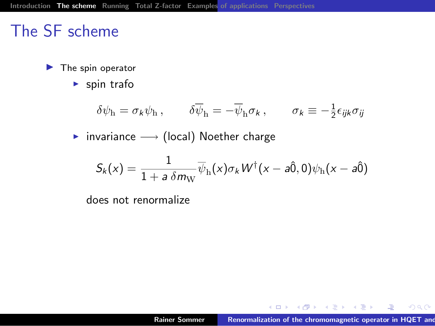- $\blacktriangleright$  The spin operator
	- $\blacktriangleright$  spin trafo

$$
\delta\psi_{\rm h} = \sigma_k \psi_{\rm h} \,, \qquad \delta\overline{\psi}_{\rm h} = -\overline{\psi}_{\rm h}\sigma_k \,, \qquad \sigma_k \equiv -\frac{1}{2}\epsilon_{ijk}\sigma_{ij}
$$

► invariance  $\longrightarrow$  (local) Noether charge

$$
S_k(x) = \frac{1}{1 + a \,\delta m_{\rm W}} \overline{\psi}_{\rm h}(x) \sigma_k W^{\dagger}(x - a\hat{0}, 0) \psi_{\rm h}(x - a\hat{0})
$$

does not renormalize

メロメ メ母メ メミメ メミメー

佳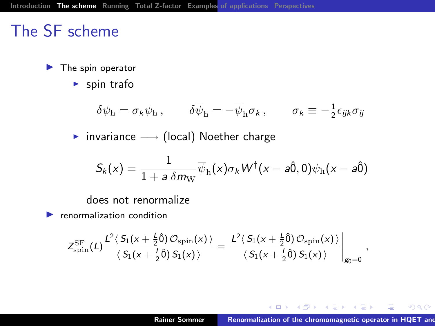- $\blacktriangleright$  The spin operator
	- $\blacktriangleright$  spin trafo

$$
\delta\psi_{\rm h} = \sigma_k\psi_{\rm h}\,,\qquad \delta\overline{\psi}_{\rm h} = -\overline{\psi}_{\rm h}\sigma_k\,,\qquad \sigma_k \equiv -\frac{1}{2}\epsilon_{ijk}\sigma_{ij}
$$

► invariance  $\longrightarrow$  (local) Noether charge

$$
S_k(x) = \frac{1}{1 + a \,\delta m_{\rm W}} \overline{\psi}_{\rm h}(x) \sigma_k W^{\dagger}(x - a\hat{0}, 0) \psi_{\rm h}(x - a\hat{0})
$$

does not renormalize

 $\blacktriangleright$  renormalization condition

$$
Z_{\rm spin}^{\rm SF}(L) \frac{L^2\langle\,S_1(\textcolor{black}{x}+\textcolor{black}{\frac12}\hat{0})\,\mathcal{O}_{\rm spin}(\textcolor{black}{x})\,\rangle}{\langle\,S_1(\textcolor{black}{x}+\textcolor{black}{\frac12}\hat{0})\,S_1(\textcolor{black}{x})\,\rangle} = \left.\frac{L^2\langle\,S_1(\textcolor{black}{x}+\textcolor{black}{\frac12}\hat{0})\,\mathcal{O}_{\rm spin}(\textcolor{black}{x})\,\rangle}{\langle\,S_1(\textcolor{black}{x}+\textcolor{black}{\frac12}\hat{0})\,S_1(\textcolor{black}{x})\,\rangle}\,\right|_{\textcolor{black}{g_0=0}}\,,
$$

イロメ イ母メ イヨメ イヨメー

佳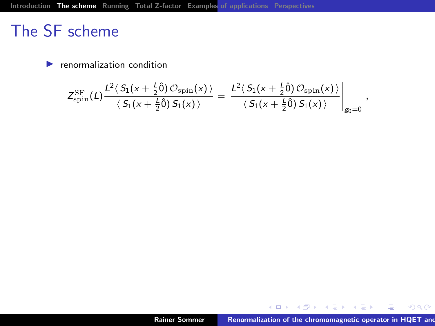$\blacktriangleright$  renormalization condition

$$
Z_{\rm spin}^{\rm SF}(L) \frac{L^2 \langle\,S_1(x+\tfrac{L}{2}\hat{0})\,\mathcal{O}_{\rm spin}(x)\,\rangle}{\langle\,S_1(x+\tfrac{L}{2}\hat{0})\,S_1(x)\,\rangle} = \left.\frac{L^2 \langle\,S_1(x+\tfrac{L}{2}\hat{0})\,\mathcal{O}_{\rm spin}(x)\,\rangle}{\langle\,S_1(x+\tfrac{L}{2}\hat{0})\,S_1(x)\,\rangle}\right|_{g_0=0},
$$

メロメ メ都 メメ きょうくきょう

 $E = 990$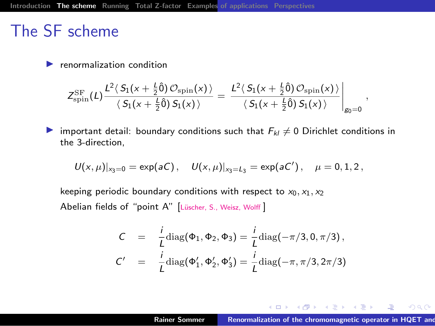$\blacktriangleright$  renormalization condition

$$
Z_{\rm spin}^{\rm SF}(L) \frac{L^2\langle\,S_1(x+\frac{L}{2}\hat{0})\,\mathcal{O}_{\rm spin}(x)\,\rangle}{\langle\,S_1(x+\frac{L}{2}\hat{0})\,S_1(x)\,\rangle}\,=\,\frac{L^2\langle\,S_1(x+\frac{L}{2}\hat{0})\,\mathcal{O}_{\rm spin}(x)\,\rangle}{\langle\,S_1(x+\frac{L}{2}\hat{0})\,S_1(x)\,\rangle}\,\Bigg|_{\rm g_0=0}\,,
$$

important detail: boundary conditions such that  $F_{kl} \neq 0$  Dirichlet conditions in the 3-direction,

$$
\mathit{U}(x,\mu)|_{x_3=0}=\text{exp}(aC)\,,\quad \mathit{U}(x,\mu)|_{x_3=L_3}=\text{exp}(aC')\,,\quad \mu=0,1,2\,,
$$

keeping periodic boundary conditions with respect to  $x_0, x_1, x_2$ Abelian fields of "point A" [Lüscher, S., Weisz, Wolff]

$$
C = \frac{i}{L} \text{diag}(\Phi_1, \Phi_2, \Phi_3) = \frac{i}{L} \text{diag}(-\pi/3, 0, \pi/3),
$$
  

$$
C' = \frac{i}{L} \text{diag}(\Phi'_1, \Phi'_2, \Phi'_3) = \frac{i}{L} \text{diag}(-\pi, \pi/3, 2\pi/3)
$$

メロメ メタメ メミメ メミメー

佳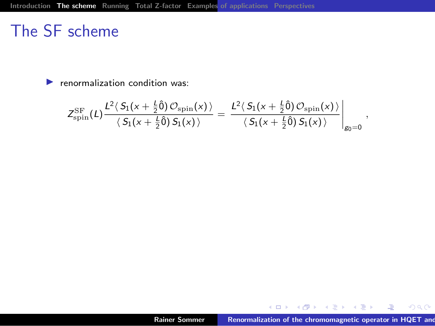$\blacktriangleright$  renormalization condition was:

$$
Z_{\rm spin}^{\rm SF}(L) \frac{L^2 \langle\,S_1(x+\tfrac{L}{2}\hat{0})\,\mathcal{O}_{\rm spin}(x)\,\rangle}{\langle\,S_1(x+\tfrac{L}{2}\hat{0})\,S_1(x)\,\rangle}\t=\left.\frac{L^2 \langle\,S_1(x+\tfrac{L}{2}\hat{0})\,\mathcal{O}_{\rm spin}(x)\,\rangle}{\langle\,S_1(x+\tfrac{L}{2}\hat{0})\,S_1(x)\,\rangle}\right|_{\rm g_0=0}\,,
$$

メロメ メ御メ メ君メ メ君メー

 $E = 990$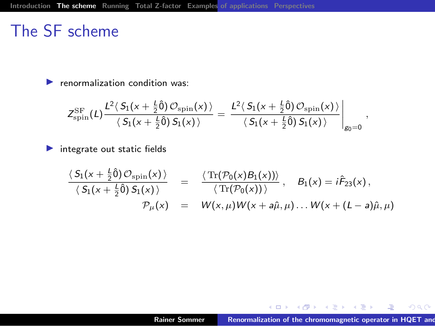$\blacktriangleright$  renormalization condition was:

$$
Z_{\rm spin}^{\rm SF}(L) \frac{L^2\langle\,S_1(x+\frac{L}{2}\hat{0})\,\mathcal{O}_{\rm spin}(x)\,\rangle}{\langle\,S_1(x+\frac{L}{2}\hat{0})\,S_1(x)\,\rangle}\,=\,\frac{L^2\langle\,S_1(x+\frac{L}{2}\hat{0})\,\mathcal{O}_{\rm spin}(x)\,\rangle}{\langle\,S_1(x+\frac{L}{2}\hat{0})\,S_1(x)\,\rangle}\,\bigg|_{\rm g_0=0}\;,
$$

 $\blacktriangleright$  integrate out static fields

$$
\frac{\langle S_1(x+\frac{L}{2}\hat{0})\mathcal{O}_{\text{spin}}(x)\rangle}{\langle S_1(x+\frac{L}{2}\hat{0})\mathcal{S}_1(x)\rangle} = \frac{\langle \text{Tr}(\mathcal{P}_0(x)\mathcal{B}_1(x))\rangle}{\langle \text{Tr}(\mathcal{P}_0(x))\rangle}, \quad \mathcal{B}_1(x) = i\hat{\mathcal{F}}_{23}(x),
$$
  

$$
\mathcal{P}_\mu(x) = W(x,\mu)W(x+a\hat{\mu},\mu) \dots W(x+(L-a)\hat{\mu},\mu)
$$

メロメ メタメ メミメ メミメー

画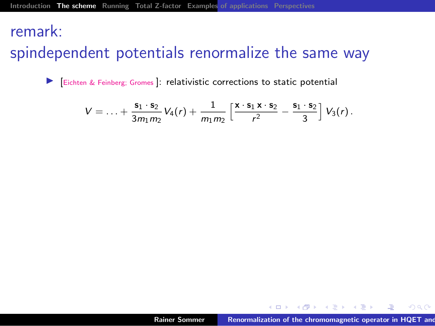#### remark:

### spindependent potentials renormalize the same way

I [Eichten & Feinberg; Gromes ]: relativistic corrections to static potential

$$
V=\ldots+\frac{s_1\cdot s_2}{3m_1m_2}V_4(r)+\frac{1}{m_1m_2}\left[\frac{x\cdot s_1x\cdot s_2}{r^2}-\frac{s_1\cdot s_2}{3}\right]V_3(r).
$$

 $\mathcal{A}$  and  $\mathcal{A}$  in the set of  $\mathbb{R}$  is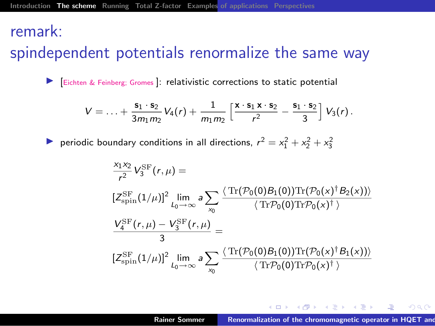#### remark:

### spindependent potentials renormalize the same way

I [Eichten & Feinberg; Gromes ]: relativistic corrections to static potential

$$
V=\ldots+\frac{s_1\cdot s_2}{3m_1m_2}V_4(r)+\frac{1}{m_1m_2}\left[\frac{x\cdot s_1x\cdot s_2}{r^2}-\frac{s_1\cdot s_2}{3}\right]V_3(r).
$$

reperiodic boundary conditions in all directions,  $r^2 = x_1^2 + x_2^2 + x_3^2$ 

$$
\begin{aligned} &\frac{x_1x_2}{r^2}V_3^{\rm SF}(r,\mu)=\\ &\,[Z_{\rm spin}^{\rm SF}(1/\mu)]^2\lim_{L_0\to\infty}a\sum_{x_0}\frac{\langle\,{\rm Tr}(\mathcal{P}_0(0)B_1(0)){\rm Tr}(\mathcal{P}_0(x)^\dagger B_2(x))\rangle}{\langle\,{\rm Tr}\mathcal{P}_0(0){\rm Tr}\mathcal{P}_0(x)^\dagger\,\rangle}\\ &\frac{V_4^{\rm SF}(r,\mu)-V_3^{\rm SF}(r,\mu)}{3}=&\\ &\,[Z_{\rm spin}^{\rm SF}(1/\mu)]^2\lim_{L_0\to\infty}a\sum_{x_0}\frac{\langle\,{\rm Tr}(\mathcal{P}_0(0)B_1(0)){\rm Tr}(\mathcal{P}_0(x)^\dagger B_1(x))\rangle}{\langle\,{\rm Tr}\mathcal{P}_0(0){\rm Tr}\mathcal{P}_0(x)^\dagger\,\rangle} \end{aligned}
$$

 $\mathcal{A}$  and  $\mathcal{A}$  in the set of  $\mathcal{B}$  is a set of  $\mathcal{B}$  is a set of  $\mathcal{B}$  is a set of  $\mathcal{B}$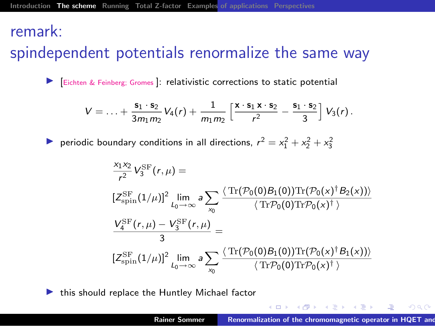#### remark:

### spindependent potentials renormalize the same way

I [Eichten & Feinberg; Gromes ]: relativistic corrections to static potential

$$
V=\ldots+\frac{s_1\cdot s_2}{3m_1m_2}V_4(r)+\frac{1}{m_1m_2}\left[\frac{x\cdot s_1x\cdot s_2}{r^2}-\frac{s_1\cdot s_2}{3}\right]V_3(r).
$$

reperiodic boundary conditions in all directions,  $r^2 = x_1^2 + x_2^2 + x_3^2$ 

$$
\begin{aligned} &\frac{x_1x_2}{r^2}V_3^{\rm SF}(r,\mu)=\\ &\,[Z_{\rm spin}^{\rm SF}(1/\mu)]^2\lim_{L_0\to\infty}a\sum_{x_0}\frac{\langle\,{\rm Tr}(\mathcal{P}_0(0)B_1(0)){\rm Tr}(\mathcal{P}_0(x)^\dagger B_2(x))\rangle}{\langle\,{\rm Tr}\mathcal{P}_0(0){\rm Tr}\mathcal{P}_0(x)^\dagger\,\rangle}\\ &\frac{V_4^{\rm SF}(r,\mu)-V_3^{\rm SF}(r,\mu)}{3}=&\\ &\,[Z_{\rm spin}^{\rm SF}(1/\mu)]^2\lim_{L_0\to\infty}a\sum_{x_0}\frac{\langle\,{\rm Tr}(\mathcal{P}_0(0)B_1(0)){\rm Tr}(\mathcal{P}_0(x)^\dagger B_1(x))\rangle}{\langle\,{\rm Tr}\mathcal{P}_0(0){\rm Tr}\mathcal{P}_0(x)^\dagger\,\rangle} \end{aligned}
$$

 $\blacktriangleright$  this should replace the Huntley Michael factor

 $\mathcal{A}$  and  $\mathcal{A}$  in the set of  $\mathbb{R}$  is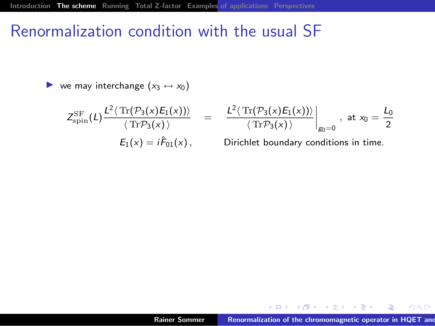#### Renormalization condition with the usual SF

ightharpoonup we may interchange  $(x_3 \leftrightarrow x_0)$ 

$$
Z_{\rm spin}^{\rm SF}(L) \frac{L^2 \langle \text{Tr}(\mathcal{P}_3(x) E_1(x)) \rangle}{\langle \text{Tr} \mathcal{P}_3(x) \rangle} =
$$
  
\n
$$
E_1(x) = i \hat{F}_{01}(x), \qquad [
$$

$$
\left.\frac{L^2\langle \operatorname{Tr}(\mathcal{P}_3(x)E_1(x))\rangle}{\langle \operatorname{Tr}\mathcal{P}_3(x)\rangle}\right|_{g_0=0}, \text{ at } x_0=\frac{L_0}{2}
$$

Dirichlet boundary conditions in time.

メロメ メ御メ メミメ メミメー

佳

 $-990$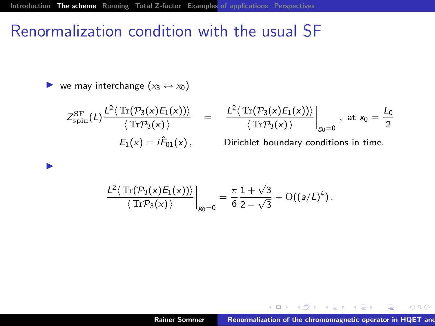#### Renormalization condition with the usual SF

ightharpoonup we may interchange  $(x_3 \leftrightarrow x_0)$ 

 $\blacktriangleright$ 

$$
Z_{\rm spin}^{\rm SF}(L) \frac{L^2 \langle \text{Tr}(\mathcal{P}_3(x)E_1(x)) \rangle}{\langle \text{Tr} \mathcal{P}_3(x) \rangle} = \frac{L^2 \langle \text{Tr}(\mathcal{P}_3(x)) \rangle}{\langle \text{Tr} \mathcal{P}_3(x) \rangle}
$$
  
\n
$$
E_1(x) = i\hat{F}_{01}(x),
$$
Dirichlet be

$$
\left.\frac{L^2 \langle \text{Tr}(\mathcal{P}_3(x)E_1(x)) \rangle}{\langle \text{Tr} \mathcal{P}_3(x) \rangle} \right|_{g_0=0}, \text{ at } x_0 = \frac{L_0}{2}
$$

oundary conditions in time.

$$
\frac{L^2 \langle \operatorname{Tr}(\mathcal{P}_3(x)E_1(x)) \rangle}{\langle \operatorname{Tr} \mathcal{P}_3(x) \rangle} \bigg|_{g_0=0} = \frac{\pi}{6} \frac{1+\sqrt{3}}{2-\sqrt{3}} + O((a/L)^4) .
$$

メロメ メ御メ メミメ メミメー

佳

 $-990$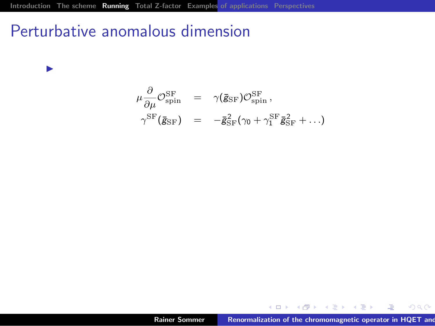#### Perturbative anomalous dimension

 $\blacktriangleright$ 

$$
\mu \frac{\partial}{\partial \mu} \mathcal{O}_{\text{spin}}^{\text{SF}} = \gamma (\bar{\mathbf{g}}_{\text{SF}}) \mathcal{O}_{\text{spin}}^{\text{SF}}, \n\gamma^{\text{SF}} (\bar{\mathbf{g}}_{\text{SF}}) = -\bar{\mathbf{g}}_{\text{SF}}^2 (\gamma_0 + \gamma_1^{\text{SF}} \bar{\mathbf{g}}_{\text{SF}}^2 + \ldots)
$$

メロメ メタメ メミメ メミメ

<span id="page-40-0"></span>重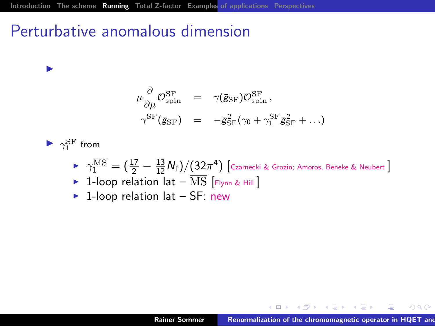#### Perturbative anomalous dimension

$$
\mu \frac{\partial}{\partial \mu} \mathcal{O}_{\text{spin}}^{\text{SF}} = \gamma (\bar{\mathbf{g}}_{\text{SF}}) \mathcal{O}_{\text{spin}}^{\text{SF}}, \n\gamma^{\text{SF}} (\bar{\mathbf{g}}_{\text{SF}}) = -\bar{\mathbf{g}}_{\text{SF}}^2 (\gamma_0 + \gamma_1^{\text{SF}} \bar{\mathbf{g}}_{\text{SF}}^2 + \ldots)
$$

 $\blacktriangleright \gamma^{\text{SF}}_1$  from

I

- $\blacktriangleright \ \ \gamma^{\rm MS}_1 = \big(\frac{17}{2} \frac{13}{12} N_{\rm f}\big)/\big(32\pi^4\big)\,$ [Czarnecki & Grozin; Amoros, Beneke & Neubert ]
- $\triangleright$  1-loop relation lat  $\overline{\text{MS}}$  [Flynn & Hill ]
- $\blacktriangleright$  1-loop relation lat SF: new

メ御き メミメ メミメー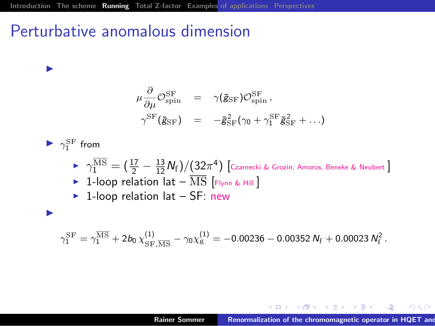#### Perturbative anomalous dimension

$$
\begin{array}{rcl} \mu \frac{\partial}{\partial \mu} \mathcal{O}^{\rm SF}_{\rm spin} & = & \gamma (\bar{\mathbf{g}}_{\rm SF}) \mathcal{O}^{\rm SF}_{\rm spin} \, , \\[2mm] \gamma^{\rm SF} (\bar{\mathbf{g}}_{\rm SF}) & = & -\bar{\mathbf{g}}_{\rm SF}^2 (\gamma_0 + \gamma_1^{\rm SF} \bar{\mathbf{g}}_{\rm SF}^2 + \ldots) \end{array}
$$

 $\blacktriangleright \gamma^{\text{SF}}_1$  from

I

**D** 

- $\blacktriangleright \ \ \gamma^{\rm MS}_1 = \big(\frac{17}{2} \frac{13}{12} N_{\rm f}\big)/\big(32\pi^4\big)\,$ [Czarnecki & Grozin; Amoros, Beneke & Neubert ]  $\triangleright$  1-loop relation lat –  $\overline{\text{MS}}$  [Flynn & Hill ]
- $\blacktriangleright$  1-loop relation lat SF: new

$$
\gamma_1^{\rm SF} = \gamma_1^{\overline{\rm MS}} + 2b_0\, \chi^{(1)}_{\rm SF, \overline{\rm MS}} - \gamma_0 \chi^{(1)}_{\rm g} = -0.00236 - 0.00352\, N_{\rm f} + 0.00023\, N_{\rm f}^2\,.
$$

イタイ イライ・イライ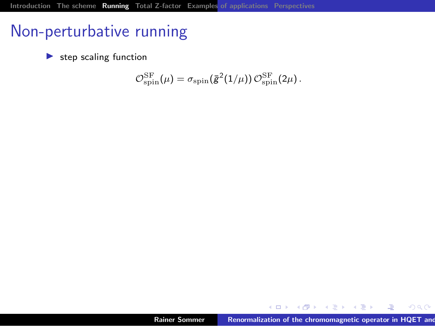### Non-perturbative running

 $\blacktriangleright$  step scaling function

$$
\mathcal{O}_{\text{spin}}^{\text{SF}}(\mu) = \sigma_{\text{spin}}(\bar{g}^2(1/\mu)) \, \mathcal{O}_{\text{spin}}^{\text{SF}}(2\mu) \, .
$$

K 御 ▶ | K 唐 ▶ | K 唐 ▶

唐

 $2Q$ 

 $4.171.6$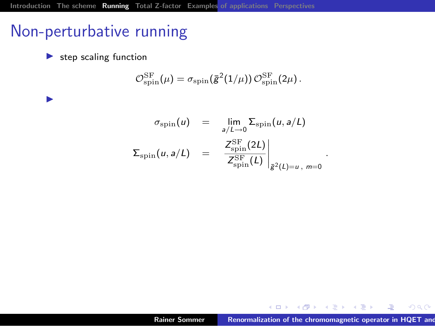### Non-perturbative running

 $\blacktriangleright$  step scaling function

I

$$
\mathcal{O}_{\text{spin}}^{\text{SF}}(\mu) = \sigma_{\text{spin}}(\bar{\mathbf{g}}^2(1/\mu)) \, \mathcal{O}_{\text{spin}}^{\text{SF}}(2\mu) \, .
$$

$$
\sigma_{\text{spin}}(u) = \lim_{a/L \to 0} \Sigma_{\text{spin}}(u, a/L)
$$

$$
\Sigma_{\text{spin}}(u, a/L) = \frac{Z_{\text{spin}}^{\text{SF}}(2L)}{Z_{\text{spin}}^{\text{SF}}(L)}\Big|_{\bar{g}^2(L) = u, m = 0}
$$

 $4.171.6$ 

.

K 御 ▶ | K 唐 ▶ | K 唐 ▶

唐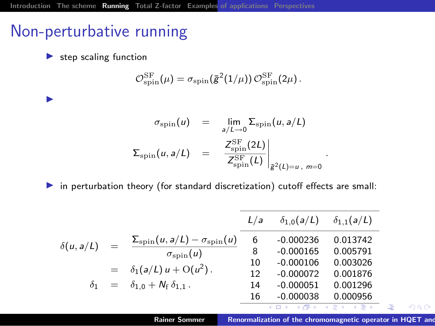### Non-perturbative running

 $\blacktriangleright$  step scaling function

I

$$
\mathcal{O}_{\text{spin}}^{\text{SF}}(\mu) = \sigma_{\text{spin}}(\bar{g}^2(1/\mu)) \, \mathcal{O}_{\text{spin}}^{\text{SF}}(2\mu) \, .
$$

$$
\sigma_{\text{spin}}(u) = \lim_{a/L \to 0} \Sigma_{\text{spin}}(u, a/L)
$$

$$
\Sigma_{\text{spin}}(u, a/L) = \frac{Z_{\text{spin}}^{\text{SF}}(2L)}{Z_{\text{spin}}^{\text{SF}}(L)}\Big|_{\bar{g}^2(L) = u, m = 0}
$$

 $\blacktriangleright$  in perturbation theory (for standard discretization) cutoff effects are small:

$$
\delta(u, a/L) = \frac{\sum_{\text{spin}}(u, a/L) - \sigma_{\text{spin}}(u)}{\sigma_{\text{spin}}(u)} \frac{L/a - \delta_{1,0}(a/L) - \delta_{1,1}(a/L)}{6 - 0.000236 - 0.013742}
$$
\n
$$
= \delta_1(a/L) u + O(u^2).
$$
\n
$$
\delta_1 = \delta_{1,0} + N_f \delta_{1,1}.
$$
\n
$$
\delta_2 = \frac{\delta_1(a/L) \cdot \delta_1(a/L)}{10 - 0.000072 - 0.001876}
$$
\n
$$
\delta_2 = \frac{\delta_1(a/L) \cdot \delta_1(a/L)}{10 - 0.000072 - 0.001876}
$$
\n
$$
\frac{16 - 0.000038 - 0.000956}{10 - 0.000038 - 0.000956}
$$

Rainer Sommer Renormalization of the chromomagnetic operator in HQET and R⋅-B⋅-B mass splitting R⋅-B mass splitting mass splitting splitting splitting splitting splitting splitting splitting splitting splitting splitting s

.

つへへ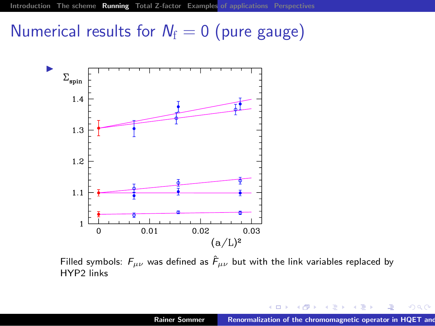### Numerical results for  $N_f = 0$  (pure gauge)



Filled symbols:  $F_{\mu\nu}$  was defined as  $\hat{F}_{\mu\nu}$  but with the link variables replaced by HYP2 links

 $\leftarrow$   $\Box$ 

つへへ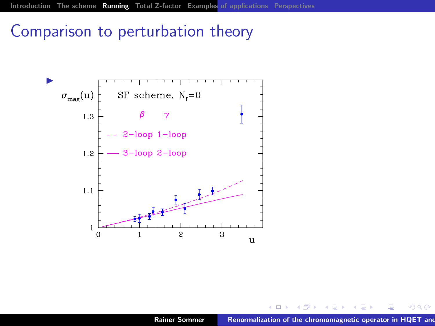#### Comparison to perturbation theory



つへへ

 $\leftarrow$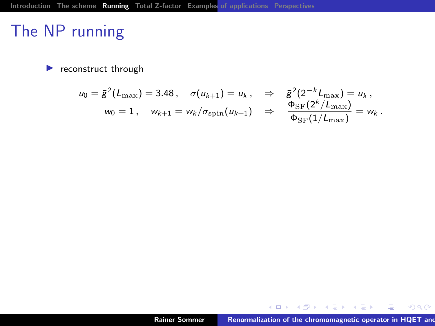#### The NP running

 $\blacktriangleright$  reconstruct through

$$
u_0 = \bar{g}^2(L_{\max}) = 3.48, \quad \sigma(u_{k+1}) = u_k, \quad \Rightarrow \quad \bar{g}^2(2^{-k}L_{\max}) = u_k, w_0 = 1, \quad w_{k+1} = w_k/\sigma_{\text{spin}}(u_{k+1}) \quad \Rightarrow \quad \frac{\Phi_{\text{SF}}(2^k/L_{\max})}{\Phi_{\text{SF}}(1/L_{\max})} = w_k.
$$

メロメ メ御メ メ君メ メ君メー

 $E = 990$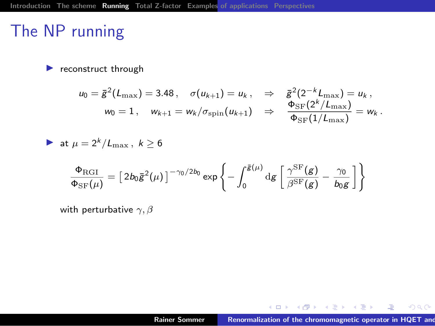### The NP running

 $\blacktriangleright$  reconstruct through

$$
u_0 = \bar{g}^2(L_{\max}) = 3.48, \quad \sigma(u_{k+1}) = u_k, \quad \Rightarrow \quad \bar{g}^2(2^{-k}L_{\max}) = u_k,
$$
  

$$
w_0 = 1, \quad w_{k+1} = w_k/\sigma_{\text{spin}}(u_{k+1}) \quad \Rightarrow \quad \frac{\Phi_{\text{SF}}(2^k/L_{\max})}{\Phi_{\text{SF}}(1/L_{\max})} = w_k.
$$

$$
\triangleright \text{ at } \mu = 2^k / L_{\text{max}}, \ k \ge 6
$$
\n
$$
\frac{\Phi_{\text{RGI}}}{\Phi_{\text{SF}}(\mu)} = \left[ 2b_0 \bar{g}^2(\mu) \right]^{-\gamma_0/2b_0} \exp\left\{ -\int_0^{\bar{g}(\mu)} \mathrm{d}g \left[ \frac{\gamma^{\text{SF}}(g)}{\beta^{\text{SF}}(g)} - \frac{\gamma_0}{b_0 g} \right] \right\}
$$

with perturbative  $\gamma$ ,  $\beta$ 

メロメ メ都メ メミメ メミメー

 $\equiv$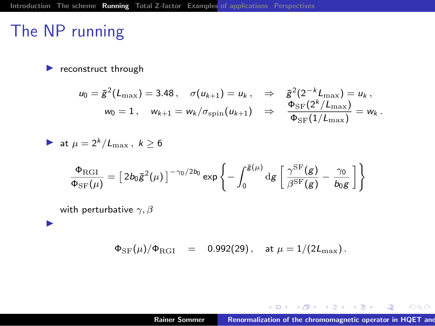### The NP running

 $\blacktriangleright$ 

 $\blacktriangleright$  reconstruct through

$$
u_0 = \bar{g}^2(L_{\max}) = 3.48, \quad \sigma(u_{k+1}) = u_k, \quad \Rightarrow \quad \bar{g}^2(2^{-k}L_{\max}) = u_k,
$$
  

$$
w_0 = 1, \quad w_{k+1} = w_k/\sigma_{\text{spin}}(u_{k+1}) \quad \Rightarrow \quad \frac{\Phi_{\text{SF}}(2^k/L_{\max})}{\Phi_{\text{SF}}(1/L_{\max})} = w_k.
$$

$$
\quad \blacktriangleright \text{ at } \mu = 2^k/L_{\max} \, , \,\, k \geq 6
$$

$$
\frac{\Phi_{\rm RGI}}{\Phi_{\rm SF}(\mu)} = \left[2b_0\bar{g}^2(\mu)\right]^{-\gamma_0/2b_0} \exp\left\{-\int_0^{\bar{g}(\mu)} \mathrm{d}g \left[\frac{\gamma^{\rm SF}(g)}{\beta^{\rm SF}(g)} - \frac{\gamma_0}{b_0g}\right]\right\}
$$

with perturbative  $\gamma$ ,  $\beta$ 

 $\Phi_{\rm SF}(\mu)/\Phi_{\rm RGI}$  = 0.992(29), at  $\mu = 1/(2L_{\rm max})$ .

メロメ メ御メ メミメ メミメー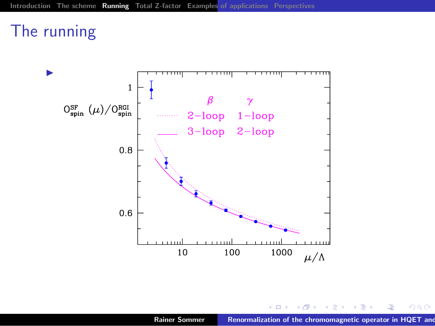### The running



メ団 メーキン・スコン

唐

 $2Q$ 

4.000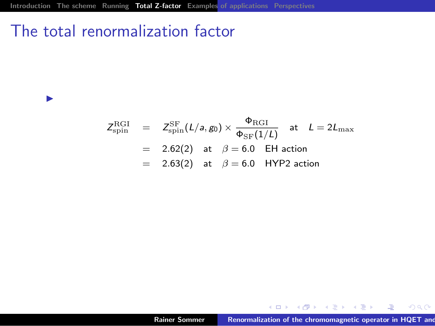#### The total renormalization factor

 $\blacktriangleright$ 

$$
Z_{\text{spin}}^{\text{RGI}} = Z_{\text{spin}}^{\text{SF}}(L/a, g_0) \times \frac{\Phi_{\text{RGI}}}{\Phi_{\text{SF}}(1/L)} \text{ at } L = 2L_{\text{max}}
$$
  
= 2.62(2) at  $\beta = 6.0$  EH action  
= 2.63(2) at  $\beta = 6.0$  HYP2 action

メロメ メタメ メミメ メミメ

<span id="page-52-0"></span> $298$ 

 $\equiv$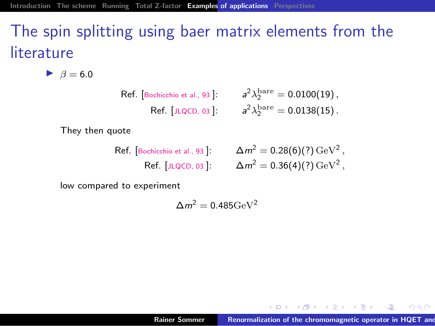# The spin splitting using baer matrix elements from the literature

 $\blacktriangleright$   $\beta = 6.0$ 

Ref. [Bochicchio et al., 93]:

\n
$$
a^{2} \lambda_{2}^{\text{bare}} = 0.0100(19),
$$
\nRef. [JLQCD, 03]:

\n
$$
a^{2} \lambda_{2}^{\text{bare}} = 0.0138(15).
$$

They then quote

Ref. [Bochicchio et al., 93]:

\n
$$
\Delta m^2 = 0.28(6)(?) \,\text{GeV}^2,
$$
\nRef. [JLQCD, 03]:

\n
$$
\Delta m^2 = 0.36(4)(?) \,\text{GeV}^2,
$$

low compared to experiment

$$
\Delta m^2 = 0.485 {\rm GeV}^2
$$

 $\mathcal{A}$  and  $\mathcal{A}$  in the set of  $\mathbb{R}$  is

<span id="page-53-0"></span> $2Q$ 

 $4.171 +$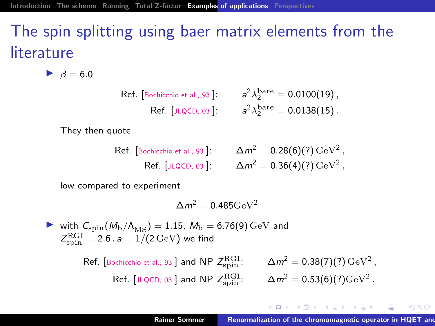# The spin splitting using baer matrix elements from the literature

 $\triangleright$   $\beta = 6.0$ 

Ref. [Bochicchio et al., 93]:  
\n
$$
a^2 \lambda_2^{\text{bare}} = 0.0100(19),
$$
  
\nRef. [JLQCD, 03]:  
\n $a^2 \lambda_2^{\text{bare}} = 0.0138(15).$ 

They then quote

Ref. [Bochicchio et al., 93]:  $\Delta m^2 = 0.28(6)(?) \,\mathrm{GeV^2}\,,$ Ref. [JLQCD, 03]:  $\Delta m^2 = 0.36(4)(?) \,\text{GeV}^2$ ,

low compared to experiment

$$
\Delta m^2 = 0.485 {\rm GeV}^2
$$

ightharpoonup with  $C_{\rm spin}(M_{\rm b}/\Lambda_{\overline{\rm MS}}) = 1.15$ ,  $M_{\rm b} = 6.76(9)\,\rm GeV$  and  $Z_{\rm spin}^{\rm RGI} = 2.6$  ,  $a = 1/(2 \,\mathrm{GeV})$  we find

Ref. [Bochicchio et al., 93] and NP 
$$
Z_{\text{spin}}^{\text{RGI}}
$$
.

\nRef. [JLQCD, 03] and NP  $Z_{\text{spin}}^{\text{RGI}}$ .

\n $\Delta m^2 = 0.38(7)(?) \, \text{GeV}^2$ ,

オートリー ステート・エー エーエス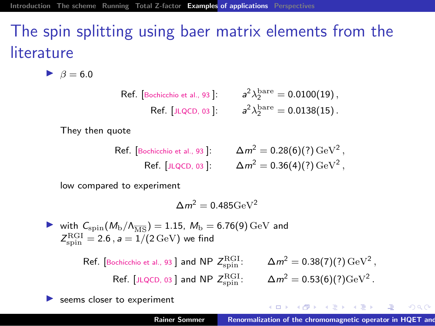# The spin splitting using baer matrix elements from the literature

 $\triangleright$   $\beta = 6.0$ 

Ref. [Bochicchio et al., 93]:

\n
$$
a^{2} \lambda_{2}^{\text{bare}} = 0.0100(19),
$$
\nRef. [JLQCD, 03]:

\n
$$
a^{2} \lambda_{2}^{\text{bare}} = 0.0138(15).
$$

They then quote

Ref. [Bochicchio et al., 93]:

\n
$$
\Delta m^2 = 0.28(6)(?) \,\text{GeV}^2,
$$
\nRef. [JLQCD, 03]:

\n
$$
\Delta m^2 = 0.36(4)(?) \,\text{GeV}^2,
$$

low compared to experiment

$$
\Delta m^2 = 0.485 {\rm GeV}^2
$$

ightharpoonup with  $C_{\rm spin}(M_{\rm b}/\Lambda_{\overline{\rm MS}}) = 1.15$ ,  $M_{\rm b} = 6.76(9)\,\rm GeV$  and  $Z_{\rm spin}^{\rm RGI} = 2.6$  ,  $a = 1/(2 \,\mathrm{GeV})$  we find

> Ref. [Bochicchio et al., 93] and NP  $Z_{\rm spin}^{\rm RGI}$  $r_{\rm spin}^{\rm RGI}$ :  $\Delta m^2 = 0.38(7)(?) \,\rm{GeV^2}$ , Ref. [JLQCD, 03 ] and NP  $Z_{\rm spin}^{\rm RGI}$  $S_{\rm spin}^{\rm RGI}$ :  $\Delta m^2 = 0.53(6)(?) {\rm GeV}^2$ .

seems closer to experiment

イ押 トライモ トライモン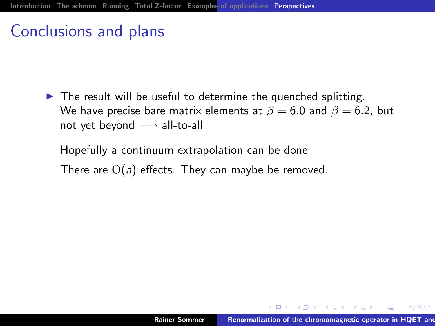#### Conclusions and plans

 $\triangleright$  The result will be useful to determine the quenched splitting. We have precise bare matrix elements at  $\beta = 6.0$  and  $\beta = 6.2$ , but not yet beyond  $\longrightarrow$  all-to-all

Hopefully a continuum extrapolation can be done There are  $O(a)$  effects. They can maybe be removed.

<span id="page-56-0"></span> $\mathcal{A}$  and  $\mathcal{A}$  in the set of  $\mathbb{R}$  is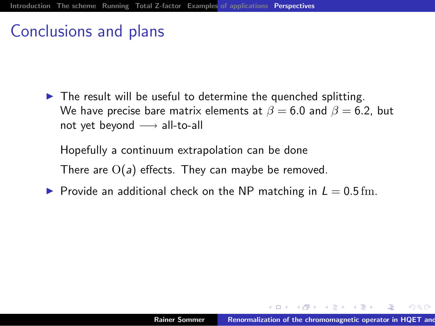#### Conclusions and plans

 $\blacktriangleright$  The result will be useful to determine the quenched splitting. We have precise bare matrix elements at  $\beta = 6.0$  and  $\beta = 6.2$ , but not yet beyond  $\longrightarrow$  all-to-all

Hopefully a continuum extrapolation can be done There are  $O(a)$  effects. They can maybe be removed.

**Provide an additional check on the NP matching in**  $L = 0.5$  **fm.** 

 $\mathbf{A}$   $\mathbf{B}$   $\mathbf{A}$   $\mathbf{B}$   $\mathbf{A}$   $\mathbf{B}$   $\mathbf{A}$   $\mathbf{B}$   $\mathbf{A}$